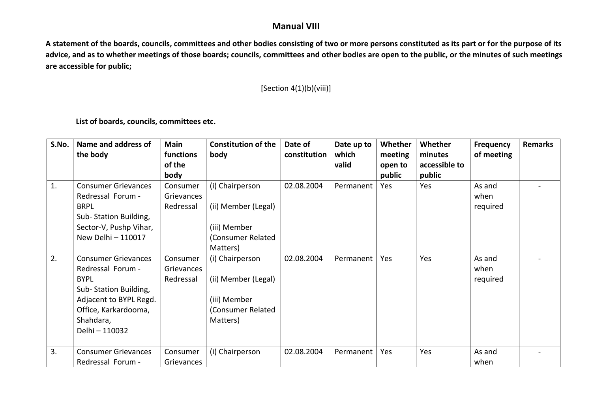## **Manual VIII**

**A statement of the boards, councils, committees and other bodies consisting of two or more persons constituted as its part or for the purpose of its advice, and as to whether meetings of those boards; councils, committees and other bodies are open to the public, or the minutes of such meetings are accessible for public;** 

## [Section 4(1)(b)(viii)]

**List of boards, councils, committees etc.** 

| S.No. | Name and address of        | <b>Main</b> | <b>Constitution of the</b> | Date of      | Date up to | Whether | Whether       | <b>Frequency</b> | Remarks |
|-------|----------------------------|-------------|----------------------------|--------------|------------|---------|---------------|------------------|---------|
|       | the body                   | functions   | body                       | constitution | which      | meeting | minutes       | of meeting       |         |
|       |                            | of the      |                            |              | valid      | open to | accessible to |                  |         |
|       |                            | body        |                            |              |            | public  | public        |                  |         |
| 1.    | <b>Consumer Grievances</b> | Consumer    | (i) Chairperson            | 02.08.2004   | Permanent  | Yes     | Yes           | As and           |         |
|       | Redressal Forum -          | Grievances  |                            |              |            |         |               | when             |         |
|       | <b>BRPL</b>                | Redressal   | (ii) Member (Legal)        |              |            |         |               | required         |         |
|       | Sub-Station Building,      |             |                            |              |            |         |               |                  |         |
|       | Sector-V, Pushp Vihar,     |             | (iii) Member               |              |            |         |               |                  |         |
|       | New Delhi - 110017         |             | (Consumer Related          |              |            |         |               |                  |         |
|       |                            |             | Matters)                   |              |            |         |               |                  |         |
| 2.    | <b>Consumer Grievances</b> | Consumer    | (i) Chairperson            | 02.08.2004   | Permanent  | Yes     | Yes           | As and           |         |
|       | Redressal Forum -          | Grievances  |                            |              |            |         |               | when             |         |
|       | <b>BYPL</b>                | Redressal   | (ii) Member (Legal)        |              |            |         |               | required         |         |
|       | Sub-Station Building,      |             |                            |              |            |         |               |                  |         |
|       | Adjacent to BYPL Regd.     |             | (iii) Member               |              |            |         |               |                  |         |
|       | Office, Karkardooma,       |             | (Consumer Related          |              |            |         |               |                  |         |
|       | Shahdara,                  |             | Matters)                   |              |            |         |               |                  |         |
|       | Delhi - 110032             |             |                            |              |            |         |               |                  |         |
|       |                            |             |                            |              |            |         |               |                  |         |
| 3.    | <b>Consumer Grievances</b> | Consumer    | (i) Chairperson            | 02.08.2004   | Permanent  | Yes     | Yes           | As and           |         |
|       | Redressal Forum -          | Grievances  |                            |              |            |         |               | when             |         |